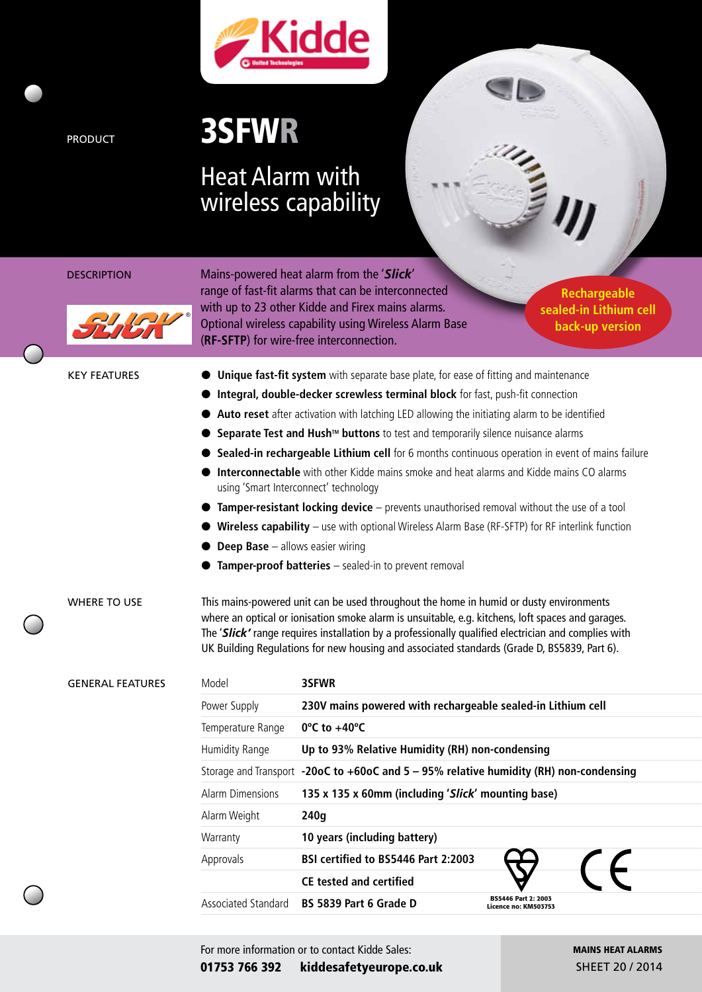

# PRODUCT 3SFWR

## Heat Alarm with wireless capability



DESCRIPTION Mains-powered heat alarm from the '*Slick*' range of fast-fit alarms that can be interconnected with up to 23 other Kidde and Firex mains alarms. Optional wireless capability using Wireless Alarm Base (**RF-SFTP**) for wire-free interconnection.

**Rechargeable sealed-in Lithium cell back-up version**

- KEY FEATURES **IF A Unique fast-fit system** with separate base plate, for ease of fitting and maintenance
	- l **Integral, double-decker screwless terminal block** for fast, push-fit connection
	- Auto reset after activation with latching LED allowing the initiating alarm to be identified
	- **Separate Test and Hush™ buttons** to test and temporarily silence nuisance alarms
	- **Sealed-in rechargeable Lithium cell** for 6 months continuous operation in event of mains failure
		- **Interconnectable** with other Kidde mains smoke and heat alarms and Kidde mains CO alarms using 'Smart Interconnect' technology
	- **Tamper-resistant locking device** prevents unauthorised removal without the use of a tool
		- Wireless capability use with optional Wireless Alarm Base (RF-SFTP) for RF interlink function
	- **Deep Base** allows easier wiring
	- **Tamper-proof batteries** sealed-in to prevent removal

WHERE TO USE This mains-powered unit can be used throughout the home in humid or dusty environments where an optical or ionisation smoke alarm is unsuitable, e.g. kitchens, loft spaces and garages. The '*Slick'* range requires installation by a professionally qualified electrician and complies with UK Building Regulations for new housing and associated standards (Grade D, BS5839, Part 6).

|  | <b>GENERAL FEATURES</b> | Model                                                                                  | 3SFWR                                                       |  |
|--|-------------------------|----------------------------------------------------------------------------------------|-------------------------------------------------------------|--|
|  |                         | Power Supply                                                                           | 230V mains powered with rechargeable sealed-in Lithium cell |  |
|  |                         | Temperature Range                                                                      | $0^{\circ}$ C to +40 $^{\circ}$ C                           |  |
|  | Humidity Range          | Up to 93% Relative Humidity (RH) non-condensing                                        |                                                             |  |
|  |                         | Storage and Transport -20oC to +60oC and 5 - 95% relative humidity (RH) non-condensing |                                                             |  |
|  | Alarm Dimensions        | 135 x 135 x 60mm (including 'Slick' mounting base)                                     |                                                             |  |
|  | Alarm Weight            | 240g                                                                                   |                                                             |  |
|  |                         | Warranty                                                                               | 10 years (including battery)                                |  |
|  | Approvals               | BSI certified to BS5446 Part 2:2003                                                    |                                                             |  |
|  |                         | <b>CE tested and certified</b>                                                         |                                                             |  |
|  | Associated Standard     | BS 5839 Part 6 Grade D                                                                 | BS5446 Part 2: 2003<br>Licence no: KM503753                 |  |
|  |                         |                                                                                        |                                                             |  |

MAINS HEAT ALARMS SHEET 20 / 2014